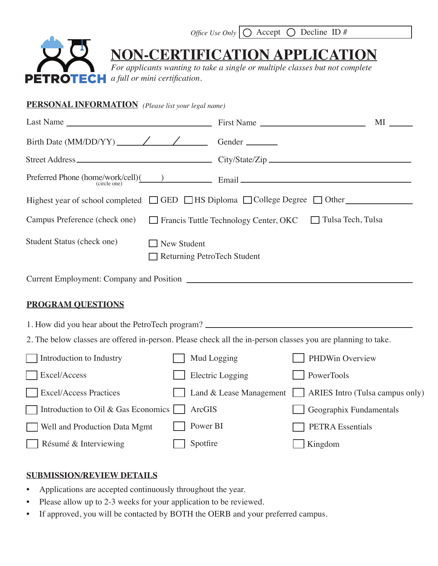

*Office Use Only*  $\bigcirc$  Accept  $\bigcirc$  Decline ID #

## **NON-CERTIFICATION APPLICATION**

*For applicants wanting to take a single or multiple classes but not complete a full or mini certification.*

| <b>PERSONAL INFORMATION</b> (Please list your legal name)                                                    |                                                   |                                              |                          |                                 |
|--------------------------------------------------------------------------------------------------------------|---------------------------------------------------|----------------------------------------------|--------------------------|---------------------------------|
|                                                                                                              |                                                   |                                              |                          |                                 |
|                                                                                                              |                                                   |                                              |                          |                                 |
|                                                                                                              |                                                   |                                              |                          |                                 |
| Preferred Phone (home/work/cell)( $\qquad$ ) Email $\qquad$                                                  |                                                   |                                              |                          |                                 |
| Highest year of school completed $\Box$ GED $\Box$ HS Diploma $\Box$ College Degree $\Box$ Other             |                                                   |                                              |                          |                                 |
| Campus Preference (check one)                                                                                |                                                   | $\Box$ Francis Tuttle Technology Center, OKC | $\Box$ Tulsa Tech, Tulsa |                                 |
| Student Status (check one)                                                                                   | <b>New Student</b><br>Returning PetroTech Student |                                              |                          |                                 |
|                                                                                                              |                                                   |                                              |                          |                                 |
| <b>PROGRAM OUESTIONS</b>                                                                                     |                                                   |                                              |                          |                                 |
| 1. How did you hear about the PetroTech program? _______________________________                             |                                                   |                                              |                          |                                 |
| 2. The below classes are offered in-person. Please check all the in-person classes you are planning to take. |                                                   |                                              |                          |                                 |
| Introduction to Industry                                                                                     |                                                   | Mud Logging                                  | PHDWin Overview          |                                 |
| Excel/Access                                                                                                 |                                                   | <b>Electric Logging</b>                      | PowerTools               |                                 |
| <b>Excel/Access Practices</b>                                                                                |                                                   | Land & Lease Management                      |                          | ARIES Intro (Tulsa campus only) |
| Introduction to Oil & Gas Economics                                                                          | ArcGIS                                            |                                              | Geographix Fundamentals  |                                 |
| Well and Production Data Mgmt                                                                                | Power BI                                          |                                              | <b>PETRA Essentials</b>  |                                 |
| Résumé & Interviewing                                                                                        | Spotfire                                          |                                              | Kingdom                  |                                 |

## **SUBMISSION/REVIEW DETAILS**

- Applications are accepted continuously throughout the year.
- Please allow up to 2-3 weeks for your application to be reviewed.
- If approved, you will be contacted by BOTH the OERB and your preferred campus.